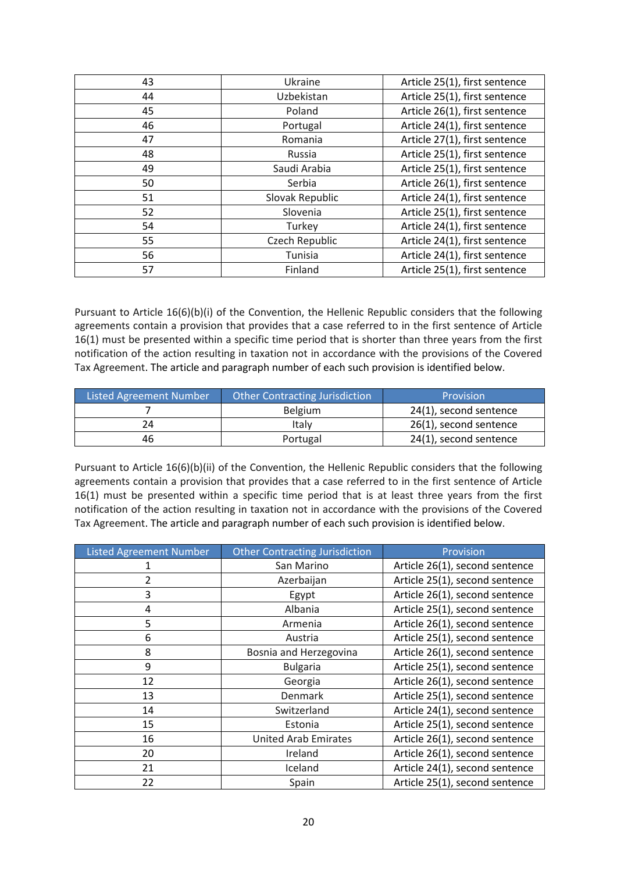| 43 | Ukraine         | Article 25(1), first sentence |
|----|-----------------|-------------------------------|
| 44 | Uzbekistan      | Article 25(1), first sentence |
| 45 | Poland          | Article 26(1), first sentence |
| 46 | Portugal        | Article 24(1), first sentence |
| 47 | Romania         | Article 27(1), first sentence |
| 48 | Russia          | Article 25(1), first sentence |
| 49 | Saudi Arabia    | Article 25(1), first sentence |
| 50 | Serbia          | Article 26(1), first sentence |
| 51 | Slovak Republic | Article 24(1), first sentence |
| 52 | Slovenia        | Article 25(1), first sentence |
| 54 | Turkey          | Article 24(1), first sentence |
| 55 | Czech Republic  | Article 24(1), first sentence |
| 56 | Tunisia         | Article 24(1), first sentence |
| 57 | Finland         | Article 25(1), first sentence |

Pursuant to Article 16(6)(b)(i) of the Convention, the Hellenic Republic considers that the following agreements contain a provision that provides that a case referred to in the first sentence of Article 16(1) must be presented within a specific time period that is shorter than three years from the first notification of the action resulting in taxation not in accordance with the provisions of the Covered Tax Agreement. The article and paragraph number of each such provision is identified below.

| <b>Listed Agreement Number</b> | <b>Other Contracting Jurisdiction</b> | Provision              |
|--------------------------------|---------------------------------------|------------------------|
|                                | <b>Belgium</b>                        | 24(1), second sentence |
| 24                             | Italy                                 | 26(1), second sentence |
| 46                             | Portugal                              | 24(1), second sentence |

Pursuant to Article 16(6)(b)(ii) of the Convention, the Hellenic Republic considers that the following agreements contain a provision that provides that a case referred to in the first sentence of Article 16(1) must be presented within a specific time period that is at least three years from the first notification of the action resulting in taxation not in accordance with the provisions of the Covered Tax Agreement. The article and paragraph number of each such provision is identified below.

| <b>Listed Agreement Number</b> | <b>Other Contracting Jurisdiction</b> | Provision                      |
|--------------------------------|---------------------------------------|--------------------------------|
|                                | San Marino                            | Article 26(1), second sentence |
| 2                              | Azerbaijan                            | Article 25(1), second sentence |
| 3                              | Egypt                                 | Article 26(1), second sentence |
| 4                              | Albania                               | Article 25(1), second sentence |
| 5                              | Armenia                               | Article 26(1), second sentence |
| 6                              | Austria                               | Article 25(1), second sentence |
| 8                              | Bosnia and Herzegovina                | Article 26(1), second sentence |
| 9                              | <b>Bulgaria</b>                       | Article 25(1), second sentence |
| 12                             | Georgia                               | Article 26(1), second sentence |
| 13                             | Denmark                               | Article 25(1), second sentence |
| 14                             | Switzerland                           | Article 24(1), second sentence |
| 15                             | Estonia                               | Article 25(1), second sentence |
| 16                             | <b>United Arab Emirates</b>           | Article 26(1), second sentence |
| 20                             | Ireland                               | Article 26(1), second sentence |
| 21                             | Iceland                               | Article 24(1), second sentence |
| 22                             | Spain                                 | Article 25(1), second sentence |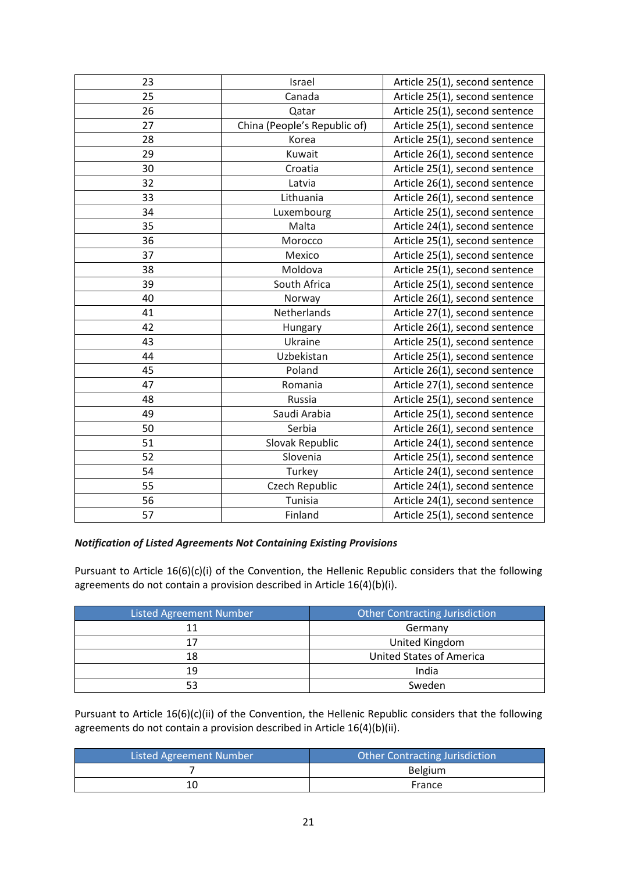| 23 | Israel                       | Article 25(1), second sentence |
|----|------------------------------|--------------------------------|
| 25 | Canada                       | Article 25(1), second sentence |
| 26 | Qatar                        | Article 25(1), second sentence |
| 27 | China (People's Republic of) | Article 25(1), second sentence |
| 28 | Korea                        | Article 25(1), second sentence |
| 29 | Kuwait                       | Article 26(1), second sentence |
| 30 | Croatia                      | Article 25(1), second sentence |
| 32 | Latvia                       | Article 26(1), second sentence |
| 33 | Lithuania                    | Article 26(1), second sentence |
| 34 | Luxembourg                   | Article 25(1), second sentence |
| 35 | Malta                        | Article 24(1), second sentence |
| 36 | Morocco                      | Article 25(1), second sentence |
| 37 | Mexico                       | Article 25(1), second sentence |
| 38 | Moldova                      | Article 25(1), second sentence |
| 39 | South Africa                 | Article 25(1), second sentence |
| 40 | Norway                       | Article 26(1), second sentence |
| 41 | Netherlands                  | Article 27(1), second sentence |
| 42 | Hungary                      | Article 26(1), second sentence |
| 43 | Ukraine                      | Article 25(1), second sentence |
| 44 | Uzbekistan                   | Article 25(1), second sentence |
| 45 | Poland                       | Article 26(1), second sentence |
| 47 | Romania                      | Article 27(1), second sentence |
| 48 | Russia                       | Article 25(1), second sentence |
| 49 | Saudi Arabia                 | Article 25(1), second sentence |
| 50 | Serbia                       | Article 26(1), second sentence |
| 51 | Slovak Republic              | Article 24(1), second sentence |
| 52 | Slovenia                     | Article 25(1), second sentence |
| 54 | Turkey                       | Article 24(1), second sentence |
| 55 | Czech Republic               | Article 24(1), second sentence |
| 56 | Tunisia                      | Article 24(1), second sentence |
| 57 | Finland                      | Article 25(1), second sentence |

#### *Notification of Listed Agreements Not Containing Existing Provisions*

Pursuant to Article 16(6)(c)(i) of the Convention, the Hellenic Republic considers that the following agreements do not contain a provision described in Article 16(4)(b)(i).

| <b>Listed Agreement Number</b> | Other Contracting Jurisdiction |  |
|--------------------------------|--------------------------------|--|
| 11                             | Germany                        |  |
| 17                             | United Kingdom                 |  |
| 18                             | United States of America       |  |
| 19                             | India                          |  |
|                                | Sweden                         |  |

Pursuant to Article 16(6)(c)(ii) of the Convention, the Hellenic Republic considers that the following agreements do not contain a provision described in Article 16(4)(b)(ii).

| Listed Agreement Number | <b>Other Contracting Jurisdiction</b> |
|-------------------------|---------------------------------------|
|                         | Belgium                               |
| 10                      | France                                |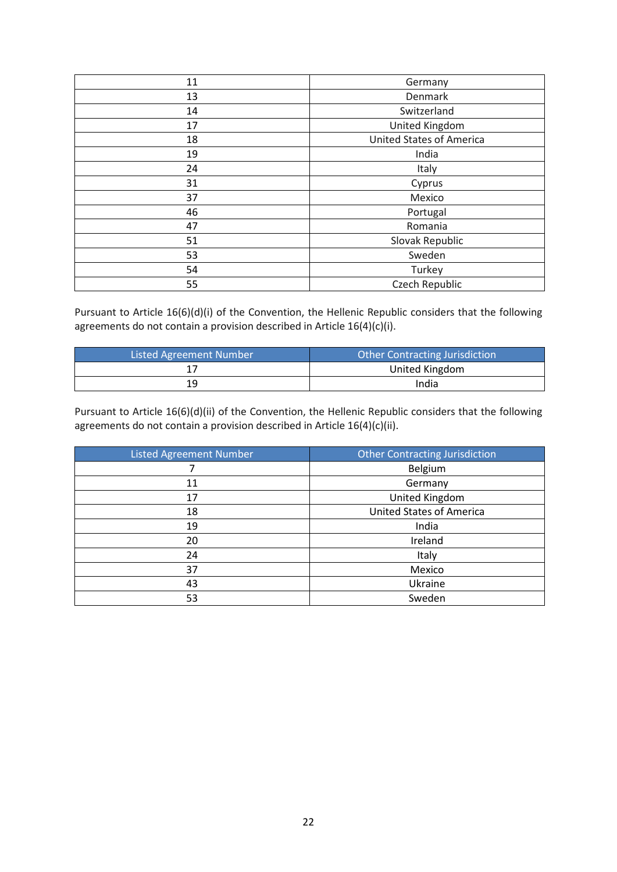| 11 | Germany                         |  |
|----|---------------------------------|--|
| 13 | Denmark                         |  |
| 14 | Switzerland                     |  |
| 17 | United Kingdom                  |  |
| 18 | <b>United States of America</b> |  |
| 19 | India                           |  |
| 24 | Italy                           |  |
| 31 | Cyprus                          |  |
| 37 | Mexico                          |  |
| 46 | Portugal                        |  |
| 47 | Romania                         |  |
| 51 | Slovak Republic                 |  |
| 53 | Sweden                          |  |
| 54 | Turkey                          |  |
| 55 | Czech Republic                  |  |

Pursuant to Article 16(6)(d)(i) of the Convention, the Hellenic Republic considers that the following agreements do not contain a provision described in Article 16(4)(c)(i).

| Listed Agreement Number | <b>Other Contracting Jurisdiction</b> |
|-------------------------|---------------------------------------|
|                         | United Kingdom                        |
| 19                      | India                                 |

Pursuant to Article 16(6)(d)(ii) of the Convention, the Hellenic Republic considers that the following agreements do not contain a provision described in Article 16(4)(c)(ii).

| <b>Listed Agreement Number</b> | <b>Other Contracting Jurisdiction</b> |  |
|--------------------------------|---------------------------------------|--|
|                                | Belgium                               |  |
| 11                             | Germany                               |  |
| 17                             | United Kingdom                        |  |
| 18                             | <b>United States of America</b>       |  |
| 19                             | India                                 |  |
| 20                             | Ireland                               |  |
| 24                             | Italy                                 |  |
| 37                             | Mexico                                |  |
| 43                             | Ukraine                               |  |
| 53                             | Sweden                                |  |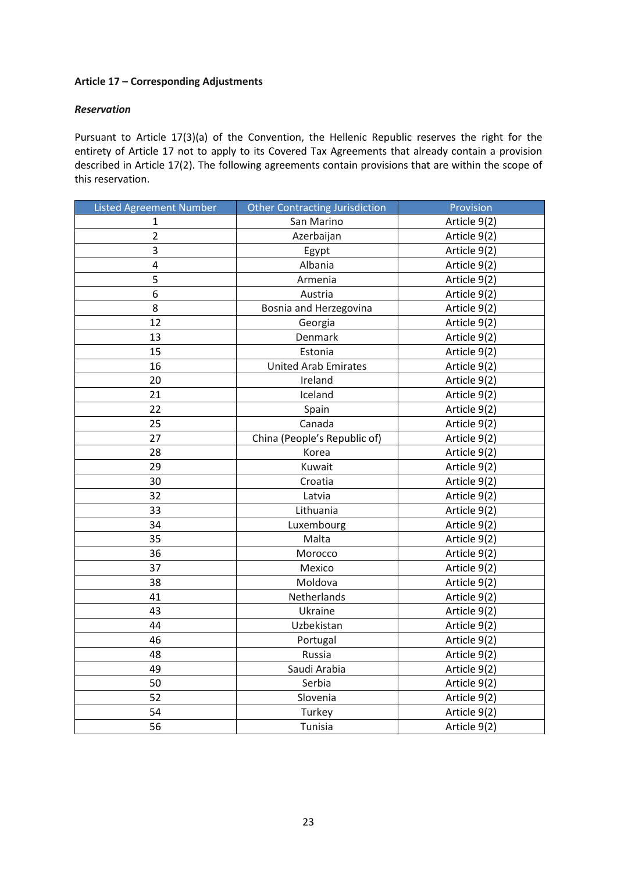## **Article 17 – Corresponding Adjustments**

## *Reservation*

Pursuant to Article 17(3)(a) of the Convention, the Hellenic Republic reserves the right for the entirety of Article 17 not to apply to its Covered Tax Agreements that already contain a provision described in Article 17(2). The following agreements contain provisions that are within the scope of this reservation.

| <b>Listed Agreement Number</b> | <b>Other Contracting Jurisdiction</b> | Provision    |
|--------------------------------|---------------------------------------|--------------|
| $\mathbf{1}$                   | San Marino                            | Article 9(2) |
| $\overline{2}$                 | Azerbaijan                            | Article 9(2) |
| 3                              | Egypt                                 | Article 9(2) |
| $\overline{\mathbf{4}}$        | Albania                               | Article 9(2) |
| 5                              | Armenia                               | Article 9(2) |
| 6                              | Austria                               | Article 9(2) |
| 8                              | Bosnia and Herzegovina                | Article 9(2) |
| 12                             | Georgia                               | Article 9(2) |
| 13                             | Denmark                               | Article 9(2) |
| 15                             | Estonia                               | Article 9(2) |
| 16                             | <b>United Arab Emirates</b>           | Article 9(2) |
| 20                             | Ireland                               | Article 9(2) |
| 21                             | Iceland                               | Article 9(2) |
| 22                             | Spain                                 | Article 9(2) |
| 25                             | Canada                                | Article 9(2) |
| 27                             | China (People's Republic of)          | Article 9(2) |
| 28                             | Korea                                 | Article 9(2) |
| 29                             | Kuwait                                | Article 9(2) |
| 30                             | Croatia                               | Article 9(2) |
| 32                             | Latvia                                | Article 9(2) |
| 33                             | Lithuania                             | Article 9(2) |
| 34                             | Luxembourg                            | Article 9(2) |
| 35                             | Malta                                 | Article 9(2) |
| 36                             | Morocco                               | Article 9(2) |
| 37                             | Mexico                                | Article 9(2) |
| 38                             | Moldova                               | Article 9(2) |
| 41                             | Netherlands                           | Article 9(2) |
| 43                             | Ukraine                               | Article 9(2) |
| 44                             | Uzbekistan                            | Article 9(2) |
| 46                             | Portugal                              | Article 9(2) |
| 48                             | Russia                                | Article 9(2) |
| 49                             | Saudi Arabia                          | Article 9(2) |
| 50                             | Serbia                                | Article 9(2) |
| 52                             | Slovenia                              | Article 9(2) |
| 54                             | Turkey                                | Article 9(2) |
| 56                             | Tunisia                               | Article 9(2) |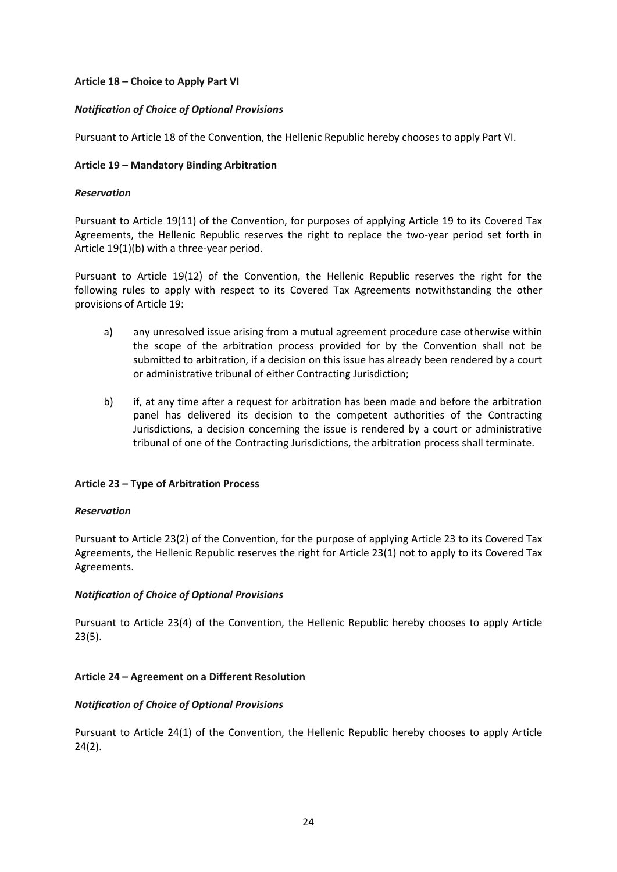# **Article 18 – Choice to Apply Part VI**

## *Notification of Choice of Optional Provisions*

Pursuant to Article 18 of the Convention, the Hellenic Republic hereby chooses to apply Part VI.

## **Article 19 – Mandatory Binding Arbitration**

### *Reservation*

Pursuant to Article 19(11) of the Convention, for purposes of applying Article 19 to its Covered Tax Agreements, the Hellenic Republic reserves the right to replace the two-year period set forth in Article 19(1)(b) with a three-year period.

Pursuant to Article 19(12) of the Convention, the Hellenic Republic reserves the right for the following rules to apply with respect to its Covered Tax Agreements notwithstanding the other provisions of Article 19:

- a) any unresolved issue arising from a mutual agreement procedure case otherwise within the scope of the arbitration process provided for by the Convention shall not be submitted to arbitration, if a decision on this issue has already been rendered by a court or administrative tribunal of either Contracting Jurisdiction;
- b) if, at any time after a request for arbitration has been made and before the arbitration panel has delivered its decision to the competent authorities of the Contracting Jurisdictions, a decision concerning the issue is rendered by a court or administrative tribunal of one of the Contracting Jurisdictions, the arbitration process shall terminate.

# **Article 23 – Type of Arbitration Process**

#### *Reservation*

Pursuant to Article 23(2) of the Convention, for the purpose of applying Article 23 to its Covered Tax Agreements, the Hellenic Republic reserves the right for Article 23(1) not to apply to its Covered Tax Agreements.

# *Notification of Choice of Optional Provisions*

Pursuant to Article 23(4) of the Convention, the Hellenic Republic hereby chooses to apply Article 23(5).

# **Article 24 – Agreement on a Different Resolution**

# *Notification of Choice of Optional Provisions*

Pursuant to Article 24(1) of the Convention, the Hellenic Republic hereby chooses to apply Article 24(2).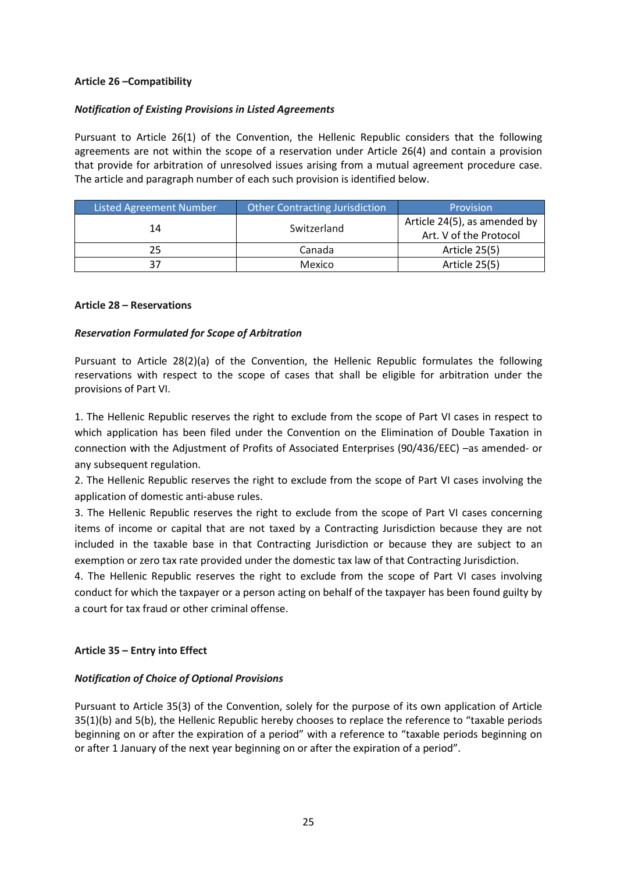### **Article 26 –Compatibility**

### *Notification of Existing Provisions in Listed Agreements*

Pursuant to Article 26(1) of the Convention, the Hellenic Republic considers that the following agreements are not within the scope of a reservation under Article 26(4) and contain a provision that provide for arbitration of unresolved issues arising from a mutual agreement procedure case. The article and paragraph number of each such provision is identified below.

| Listed Agreement Number | <b>Other Contracting Jurisdiction</b> | Provision                                              |
|-------------------------|---------------------------------------|--------------------------------------------------------|
| 14                      | Switzerland                           | Article 24(5), as amended by<br>Art. V of the Protocol |
| 25                      | Canada                                | Article 25(5)                                          |
| 37                      | Mexico                                | Article 25(5)                                          |

#### **Article 28 – Reservations**

## *Reservation Formulated for Scope of Arbitration*

Pursuant to Article 28(2)(a) of the Convention, the Hellenic Republic formulates the following reservations with respect to the scope of cases that shall be eligible for arbitration under the provisions of Part VI.

1. Τhe Hellenic Republic reserves the right to exclude from the scope of Part VI cases in respect to which application has been filed under the Convention on the Elimination of Double Taxation in connection with the Adjustment of Profits of Associated Enterprises (90/436/EEC) –as amended- or any subsequent regulation.

2. Τhe Hellenic Republic reserves the right to exclude from the scope of Part VI cases involving the application of domestic anti-abuse rules.

3. Τhe Hellenic Republic reserves the right to exclude from the scope of Part VI cases concerning items of income or capital that are not taxed by a Contracting Jurisdiction because they are not included in the taxable base in that Contracting Jurisdiction or because they are subject to an exemption or zero tax rate provided under the domestic tax law of that Contracting Jurisdiction.

4. Τhe Hellenic Republic reserves the right to exclude from the scope of Part VI cases involving conduct for which the taxpayer or a person acting on behalf of the taxpayer has been found guilty by a court for tax fraud or other criminal offense.

# **Article 35 – Entry into Effect**

#### *Notification of Choice of Optional Provisions*

Pursuant to Article 35(3) of the Convention, solely for the purpose of its own application of Article 35(1)(b) and 5(b), the Hellenic Republic hereby chooses to replace the reference to "taxable periods beginning on or after the expiration of a period" with a reference to "taxable periods beginning on or after 1 January of the next year beginning on or after the expiration of a period".